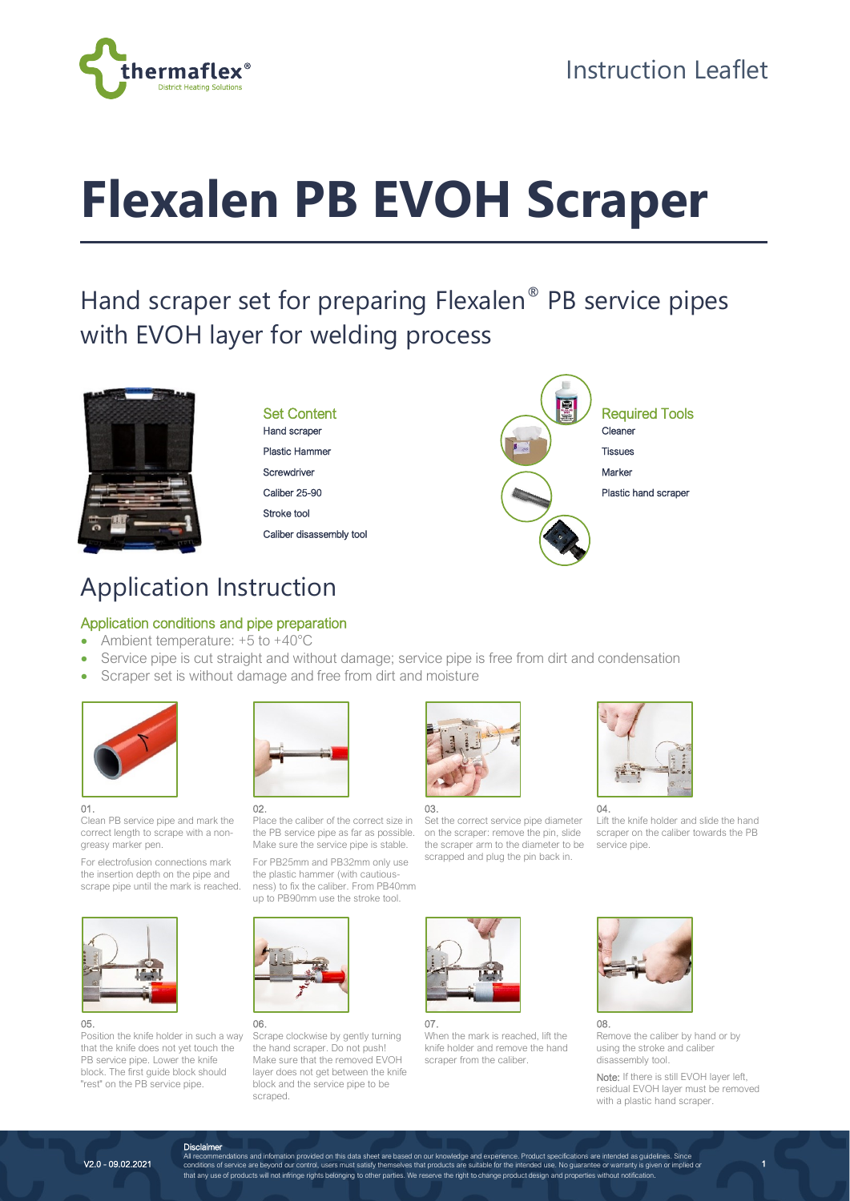

# **Flexalen PB EVOH Scraper**

# Hand scraper set for preparing Flexalen® PB service pipes with EVOH layer for welding process



### Set Content

Hand scraper Plastic Hammer **Screwdriver** 

Caliber 25-90

Stroke tool

Caliber disassembly tool



## Application Instruction

### Application conditions and pipe preparation

- Ambient temperature: +5 to +40°C
- Service pipe is cut straight and without damage; service pipe is free from dirt and condensation
- Scraper set is without damage and free from dirt and moisture





Clean PB service pipe and mark the correct length to scrape with a nongreasy marker pen.

For electrofusion connections mark the insertion depth on the pipe and scrape pipe until the mark is reached.



#### 05.

Position the knife holder in such a way that the knife does not yet touch the PB service pipe. Lower the knife block. The first guide block should "rest" on the PB service pipe.



02. Place the caliber of the correct size in the PB service pipe as far as possible. Make sure the service pipe is stable.

For PB25mm and PB32mm only use the plastic hammer (with cautiousness) to fix the caliber. From PB40mm up to PB90mm use the stroke tool.



06. Scrape clockwise by gently turning the hand scraper. Do not push! Make sure that the removed EVOH layer does not get between the knife block and the service pipe to be scraped.



03.

Set the correct service pipe diameter on the scraper: remove the pin, slide the scraper arm to the diameter to be scrapped and plug the pin back in.



07. When the mark is reached, lift the knife holder and remove the hand scraper from the caliber.



Lift the knife holder and slide the hand scraper on the caliber towards the PB service pipe.





Remove the caliber by hand or by using the stroke and caliber disassembly tool.

Note: If there is still EVOH layer left, residual EVOH layer must be removed with a plastic hand scraper.

Disclaimer<br>All recommendations and information provided on this data sheet are based on our knowledge and experience. Product specifications are intended as guidelines. Since<br>1999-1999-2021 Conditions of service are beyond that any use of products will not infringe rights belonging to other parties. We reserve the right to change product design and properties without notification